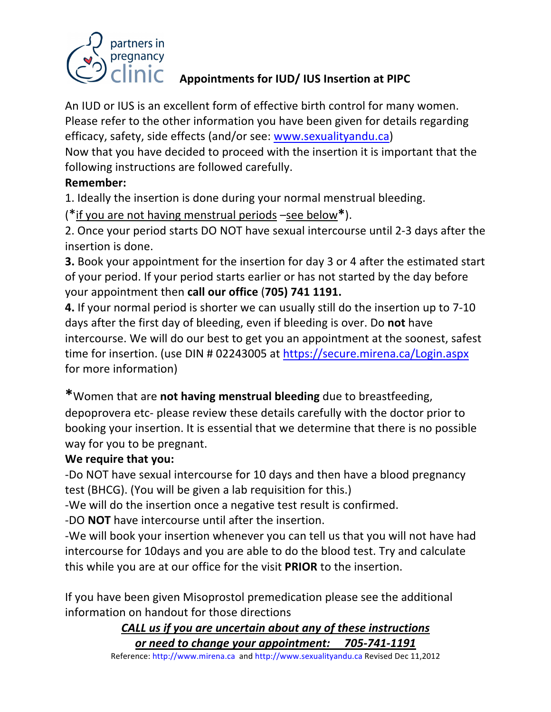

## Appointments for IUD/ IUS Insertion at PIPC

An IUD or IUS is an excellent form of effective birth control for many women. Please refer to the other information you have been given for details regarding efficacy, safety, side effects (and/or see: www.sexualityandu.ca)

Now that you have decided to proceed with the insertion it is important that the following instructions are followed carefully.

#### **Remember:**

1. Ideally the insertion is done during your normal menstrual bleeding.

(\*if you are not having menstrual periods –see below\*).

2. Once your period starts DO NOT have sexual intercourse until 2-3 days after the insertion is done.

**3.** Book your appointment for the insertion for day 3 or 4 after the estimated start of your period. If your period starts earlier or has not started by the day before your appointment then call our office (705) 741 1191.

**4.** If your normal period is shorter we can usually still do the insertion up to 7-10 days after the first day of bleeding, even if bleeding is over. Do **not** have intercourse. We will do our best to get you an appointment at the soonest, safest time for insertion. (use DIN # 02243005 at https://secure.mirena.ca/Login.aspx for more information)

\*Women that are not having menstrual bleeding due to breastfeeding, depoprovera etc- please review these details carefully with the doctor prior to booking your insertion. It is essential that we determine that there is no possible way for you to be pregnant.

## **We require that you:**

-Do NOT have sexual intercourse for 10 days and then have a blood pregnancy test (BHCG). (You will be given a lab requisition for this.)

-We will do the insertion once a negative test result is confirmed.

-DO **NOT** have intercourse until after the insertion.

-We will book your insertion whenever you can tell us that you will not have had intercourse for 10days and you are able to do the blood test. Try and calculate this while you are at our office for the visit **PRIOR** to the insertion.

If you have been given Misoprostol premedication please see the additional information on handout for those directions

> CALL us if you are uncertain about any of these instructions *or\$need\$to\$change\$your\$appointment:\$\$\$\$\$705;741;1191*

Reference: http://www.mirena.ca and http://www.sexualityandu.ca Revised Dec 11,2012